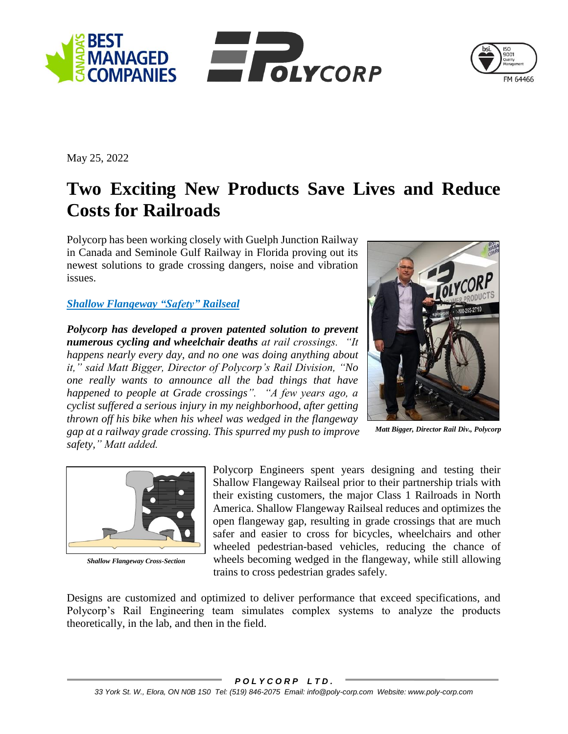



May 25, 2022

## **Two Exciting New Products Save Lives and Reduce Costs for Railroads**

Polycorp has been working closely with Guelph Junction Railway in Canada and Seminole Gulf Railway in Florida proving out its newest solutions to grade crossing dangers, noise and vibration issues.

## *[Shallow Flangeway](http://www.poly-corp.com/assets/pdf/rail/Polycorp-Rail-Shallow_Flangeway.pdf) "Safety" Railseal*

*Polycorp has developed a proven patented solution to prevent numerous cycling and wheelchair deaths at rail crossings. "It happens nearly every day, and no one was doing anything about it," said Matt Bigger, Director of Polycorp's Rail Division, "No one really wants to announce all the bad things that have happened to people at Grade crossings". "A few years ago, a cyclist suffered a serious injury in my neighborhood, after getting thrown off his bike when his wheel was wedged in the flangeway gap at a railway grade crossing. This spurred my push to improve safety," Matt added.* 



*Matt Bigger, Director Rail Div., Polycorp*



*Shallow Flangeway Cross-Section*

Polycorp Engineers spent years designing and testing their Shallow Flangeway Railseal prior to their partnership trials with their existing customers, the major Class 1 Railroads in North America. Shallow Flangeway Railseal reduces and optimizes the open flangeway gap, resulting in grade crossings that are much safer and easier to cross for bicycles, wheelchairs and other wheeled pedestrian-based vehicles, reducing the chance of wheels becoming wedged in the flangeway, while still allowing trains to cross pedestrian grades safely.

Designs are customized and optimized to deliver performance that exceed specifications, and Polycorp's Rail Engineering team simulates complex systems to analyze the products theoretically, in the lab, and then in the field.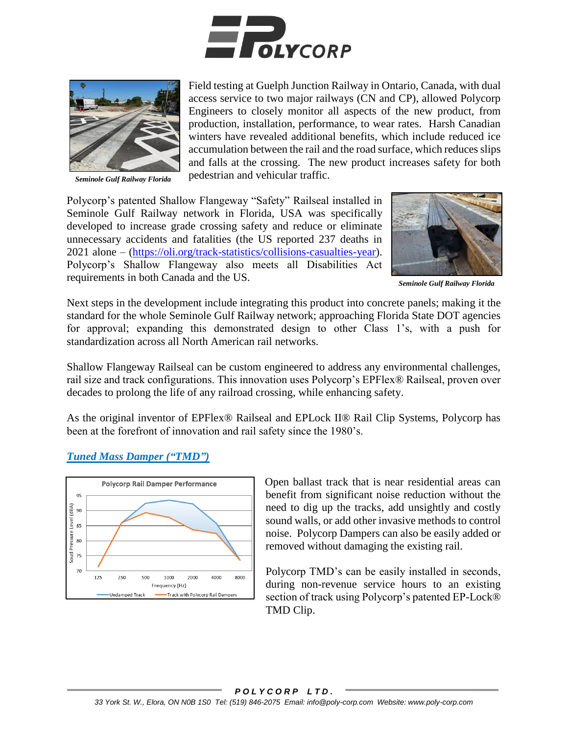



*Seminole Gulf Railway Florida*

Field testing at Guelph Junction Railway in Ontario, Canada, with dual access service to two major railways (CN and CP), allowed Polycorp Engineers to closely monitor all aspects of the new product, from production, installation, performance, to wear rates. Harsh Canadian winters have revealed additional benefits, which include reduced ice accumulation between the rail and the road surface, which reduces slips and falls at the crossing. The new product increases safety for both pedestrian and vehicular traffic.

Polycorp's patented Shallow Flangeway "Safety" Railseal installed in Seminole Gulf Railway network in Florida, USA was specifically developed to increase grade crossing safety and reduce or eliminate unnecessary accidents and fatalities (the US reported 237 deaths in 2021 alone – [\(https://oli.org/track-statistics/collisions-casualties-year\)](https://oli.org/track-statistics/collisions-casualties-year). Polycorp's Shallow Flangeway also meets all Disabilities Act requirements in both Canada and the US.



*Seminole Gulf Railway Florida*

Next steps in the development include integrating this product into concrete panels; making it the standard for the whole Seminole Gulf Railway network; approaching Florida State DOT agencies for approval; expanding this demonstrated design to other Class 1's, with a push for standardization across all North American rail networks.

Shallow Flangeway Railseal can be custom engineered to address any environmental challenges, rail size and track configurations. This innovation uses Polycorp's EPFlex® Railseal, proven over decades to prolong the life of any railroad crossing, while enhancing safety.

As the original inventor of EPFlex® Railseal and EPLock II® Rail Clip Systems, Polycorp has been at the forefront of innovation and rail safety since the 1980's.

## *[Tuned Mass Damper \("TMD"\)](http://www.poly-corp.com/assets/pdf/rail/Polycorp-Rail-Tuned_Mass_Rail_Damper.pdf)*



Open ballast track that is near residential areas can benefit from significant noise reduction without the need to dig up the tracks, add unsightly and costly sound walls, or add other invasive methods to control noise. Polycorp Dampers can also be easily added or removed without damaging the existing rail.

Polycorp TMD's can be easily installed in seconds, during non-revenue service hours to an existing section of track using Polycorp's patented EP-Lock® TMD Clip.